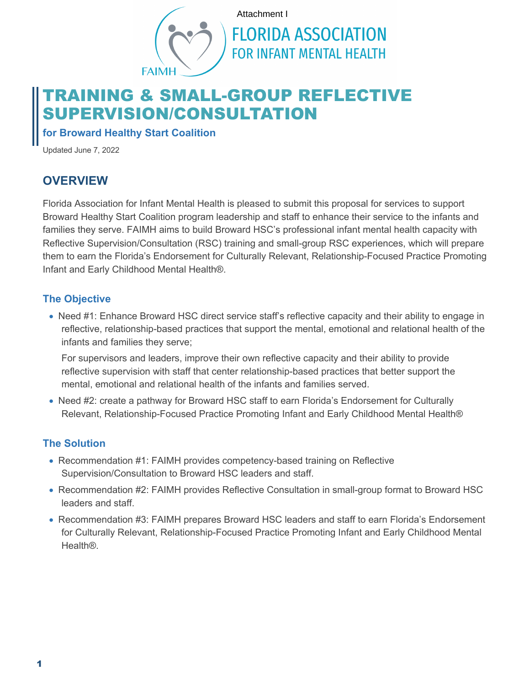

# TRAINING & SMALL-GROUP REFLECTIVE SUPERVISION/CONSULTATION

**for Broward Healthy Start Coalition**

Updated June 7, 2022

# **OVERVIEW**

Florida Association for Infant Mental Health is pleased to submit this proposal for services to support Broward Healthy Start Coalition program leadership and staff to enhance their service to the infants and families they serve. FAIMH aims to build Broward HSC's professional infant mental health capacity with Reflective Supervision/Consultation (RSC) training and small-group RSC experiences, which will prepare them to earn the Florida's Endorsement for Culturally Relevant, Relationship-Focused Practice Promoting Infant and Early Childhood Mental Health®.

#### **The Objective**

• Need #1: Enhance Broward HSC direct service staff's reflective capacity and their ability to engage in reflective, relationship-based practices that support the mental, emotional and relational health of the infants and families they serve;

For supervisors and leaders, improve their own reflective capacity and their ability to provide reflective supervision with staff that center relationship-based practices that better support the mental, emotional and relational health of the infants and families served.

• Need #2: create a pathway for Broward HSC staff to earn Florida's Endorsement for Culturally Relevant, Relationship-Focused Practice Promoting Infant and Early Childhood Mental Health®

#### **The Solution**

- Recommendation #1: FAIMH provides competency-based training on Reflective Supervision/Consultation to Broward HSC leaders and staff.
- Recommendation #2: FAIMH provides Reflective Consultation in small-group format to Broward HSC leaders and staff.
- Recommendation #3: FAIMH prepares Broward HSC leaders and staff to earn Florida's Endorsement for Culturally Relevant, Relationship-Focused Practice Promoting Infant and Early Childhood Mental Health®.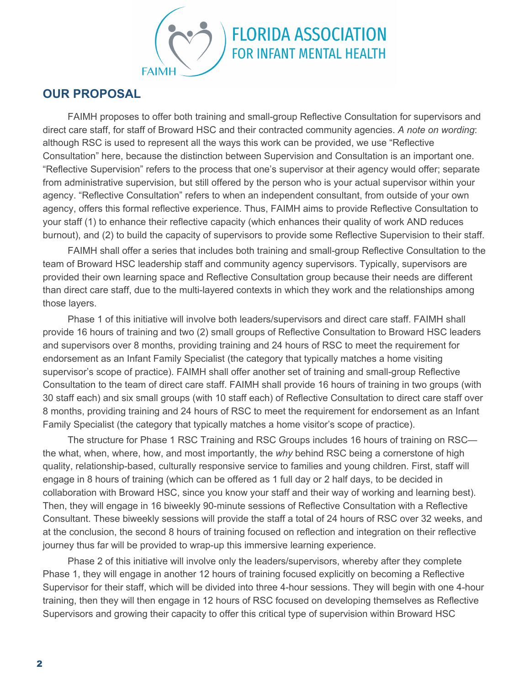

#### **OUR PROPOSAL**

FAIMH proposes to offer both training and small-group Reflective Consultation for supervisors and direct care staff, for staff of Broward HSC and their contracted community agencies. *A note on wording*: although RSC is used to represent all the ways this work can be provided, we use "Reflective Consultation" here, because the distinction between Supervision and Consultation is an important one. "Reflective Supervision" refers to the process that one's supervisor at their agency would offer; separate from administrative supervision, but still offered by the person who is your actual supervisor within your agency. "Reflective Consultation" refers to when an independent consultant, from outside of your own agency, offers this formal reflective experience. Thus, FAIMH aims to provide Reflective Consultation to your staff (1) to enhance their reflective capacity (which enhances their quality of work AND reduces burnout), and (2) to build the capacity of supervisors to provide some Reflective Supervision to their staff.

FAIMH shall offer a series that includes both training and small-group Reflective Consultation to the team of Broward HSC leadership staff and community agency supervisors. Typically, supervisors are provided their own learning space and Reflective Consultation group because their needs are different than direct care staff, due to the multi-layered contexts in which they work and the relationships among those layers.

Phase 1 of this initiative will involve both leaders/supervisors and direct care staff. FAIMH shall provide 16 hours of training and two (2) small groups of Reflective Consultation to Broward HSC leaders and supervisors over 8 months, providing training and 24 hours of RSC to meet the requirement for endorsement as an Infant Family Specialist (the category that typically matches a home visiting supervisor's scope of practice). FAIMH shall offer another set of training and small-group Reflective Consultation to the team of direct care staff. FAIMH shall provide 16 hours of training in two groups (with 30 staff each) and six small groups (with 10 staff each) of Reflective Consultation to direct care staff over 8 months, providing training and 24 hours of RSC to meet the requirement for endorsement as an Infant Family Specialist (the category that typically matches a home visitor's scope of practice).

The structure for Phase 1 RSC Training and RSC Groups includes 16 hours of training on RSC the what, when, where, how, and most importantly, the *why* behind RSC being a cornerstone of high quality, relationship-based, culturally responsive service to families and young children. First, staff will engage in 8 hours of training (which can be offered as 1 full day or 2 half days, to be decided in collaboration with Broward HSC, since you know your staff and their way of working and learning best). Then, they will engage in 16 biweekly 90-minute sessions of Reflective Consultation with a Reflective Consultant. These biweekly sessions will provide the staff a total of 24 hours of RSC over 32 weeks, and at the conclusion, the second 8 hours of training focused on reflection and integration on their reflective journey thus far will be provided to wrap-up this immersive learning experience.

Phase 2 of this initiative will involve only the leaders/supervisors, whereby after they complete Phase 1, they will engage in another 12 hours of training focused explicitly on becoming a Reflective Supervisor for their staff, which will be divided into three 4-hour sessions. They will begin with one 4-hour training, then they will then engage in 12 hours of RSC focused on developing themselves as Reflective Supervisors and growing their capacity to offer this critical type of supervision within Broward HSC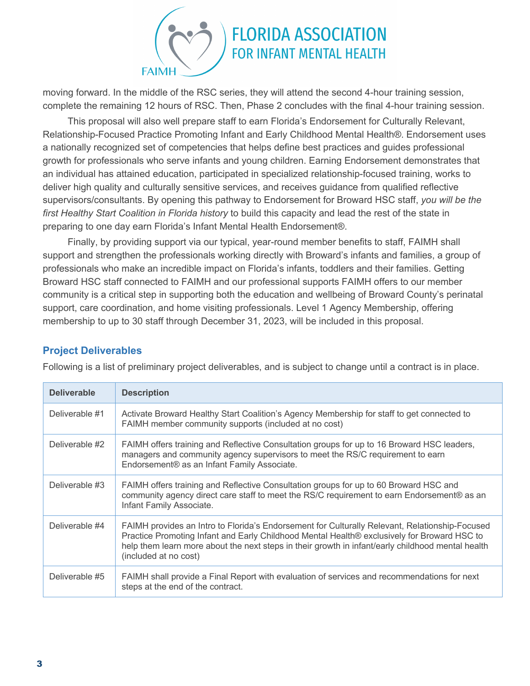

moving forward. In the middle of the RSC series, they will attend the second 4-hour training session, complete the remaining 12 hours of RSC. Then, Phase 2 concludes with the final 4-hour training session.

This proposal will also well prepare staff to earn Florida's Endorsement for Culturally Relevant, Relationship-Focused Practice Promoting Infant and Early Childhood Mental Health®. Endorsement uses a nationally recognized set of competencies that helps define best practices and guides professional growth for professionals who serve infants and young children. Earning Endorsement demonstrates that an individual has attained education, participated in specialized relationship-focused training, works to deliver high quality and culturally sensitive services, and receives quidance from qualified reflective supervisors/consultants. By opening this pathway to Endorsement for Broward HSC staff, *you will be the first Healthy Start Coalition in Florida history* to build this capacity and lead the rest of the state in preparing to one day earn Florida's Infant Mental Health Endorsement®.

Finally, by providing support via our typical, year-round member benefits to staff, FAIMH shall support and strengthen the professionals working directly with Broward's infants and families, a group of professionals who make an incredible impact on Florida's infants, toddlers and their families. Getting Broward HSC staff connected to FAIMH and our professional supports FAIMH offers to our member community is a critical step in supporting both the education and wellbeing of Broward County's perinatal support, care coordination, and home visiting professionals. Level 1 Agency Membership, offering membership to up to 30 staff through December 31, 2023, will be included in this proposal.

#### **Project Deliverables**

Following is a list of preliminary project deliverables, and is subject to change until a contract is in place.

| <b>Deliverable</b> | <b>Description</b>                                                                                                                                                                                                                                                                                                          |
|--------------------|-----------------------------------------------------------------------------------------------------------------------------------------------------------------------------------------------------------------------------------------------------------------------------------------------------------------------------|
| Deliverable #1     | Activate Broward Healthy Start Coalition's Agency Membership for staff to get connected to<br>FAIMH member community supports (included at no cost)                                                                                                                                                                         |
| Deliverable #2     | FAIMH offers training and Reflective Consultation groups for up to 16 Broward HSC leaders,<br>managers and community agency supervisors to meet the RS/C requirement to earn<br>Endorsement® as an Infant Family Associate.                                                                                                 |
| Deliverable #3     | FAIMH offers training and Reflective Consultation groups for up to 60 Broward HSC and<br>community agency direct care staff to meet the RS/C requirement to earn Endorsement® as an<br>Infant Family Associate.                                                                                                             |
| Deliverable #4     | FAIMH provides an Intro to Florida's Endorsement for Culturally Relevant, Relationship-Focused<br>Practice Promoting Infant and Early Childhood Mental Health® exclusively for Broward HSC to<br>help them learn more about the next steps in their growth in infant/early childhood mental health<br>(included at no cost) |
| Deliverable #5     | FAIMH shall provide a Final Report with evaluation of services and recommendations for next<br>steps at the end of the contract.                                                                                                                                                                                            |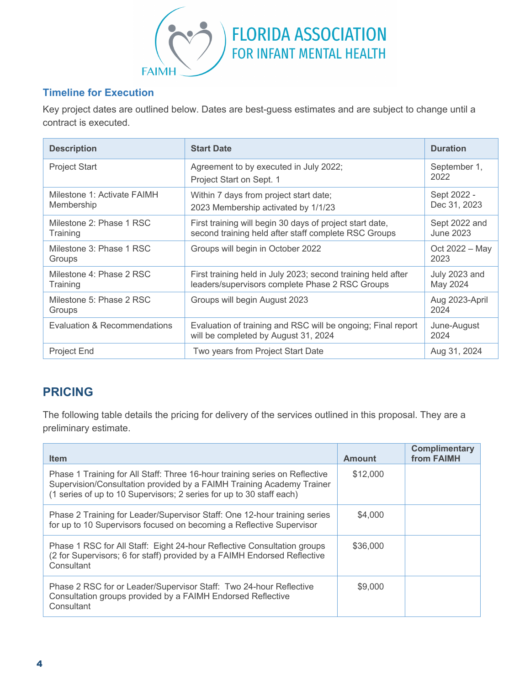

#### **Timeline for Execution**

Key project dates are outlined below. Dates are best-guess estimates and are subject to change until a contract is executed.

| <b>Description</b>                        | <b>Start Date</b>                                                                                                | <b>Duration</b>             |
|-------------------------------------------|------------------------------------------------------------------------------------------------------------------|-----------------------------|
| <b>Project Start</b>                      | Agreement to by executed in July 2022;<br>Project Start on Sept. 1                                               | September 1,<br>2022        |
| Milestone 1: Activate FAIMH<br>Membership | Within 7 days from project start date;<br>2023 Membership activated by 1/1/23                                    | Sept 2022 -<br>Dec 31, 2023 |
| Milestone 2: Phase 1 RSC<br>Training      | First training will begin 30 days of project start date,<br>second training held after staff complete RSC Groups | Sept 2022 and<br>June 2023  |
| Milestone 3: Phase 1 RSC<br>Groups        | Groups will begin in October 2022                                                                                | Oct 2022 – May<br>2023      |
| Milestone 4: Phase 2 RSC<br>Training      | First training held in July 2023; second training held after<br>leaders/supervisors complete Phase 2 RSC Groups  | July 2023 and<br>May 2024   |
| Milestone 5: Phase 2 RSC<br>Groups        | Groups will begin August 2023                                                                                    | Aug 2023-April<br>2024      |
| Evaluation & Recommendations              | Evaluation of training and RSC will be ongoing; Final report<br>will be completed by August 31, 2024             | June-August<br>2024         |
| <b>Project End</b>                        | Two years from Project Start Date                                                                                | Aug 31, 2024                |

# **PRICING**

The following table details the pricing for delivery of the services outlined in this proposal. They are a preliminary estimate.

| <b>Item</b>                                                                                                                                                                                                                  | Amount   | <b>Complimentary</b><br>from FAIMH |
|------------------------------------------------------------------------------------------------------------------------------------------------------------------------------------------------------------------------------|----------|------------------------------------|
| Phase 1 Training for All Staff: Three 16-hour training series on Reflective<br>Supervision/Consultation provided by a FAIMH Training Academy Trainer<br>(1 series of up to 10 Supervisors; 2 series for up to 30 staff each) | \$12,000 |                                    |
| Phase 2 Training for Leader/Supervisor Staff: One 12-hour training series<br>for up to 10 Supervisors focused on becoming a Reflective Supervisor                                                                            | \$4,000  |                                    |
| Phase 1 RSC for All Staff: Eight 24-hour Reflective Consultation groups<br>(2 for Supervisors; 6 for staff) provided by a FAIMH Endorsed Reflective<br>Consultant                                                            | \$36,000 |                                    |
| Phase 2 RSC for or Leader/Supervisor Staff: Two 24-hour Reflective<br>Consultation groups provided by a FAIMH Endorsed Reflective<br>Consultant                                                                              | \$9,000  |                                    |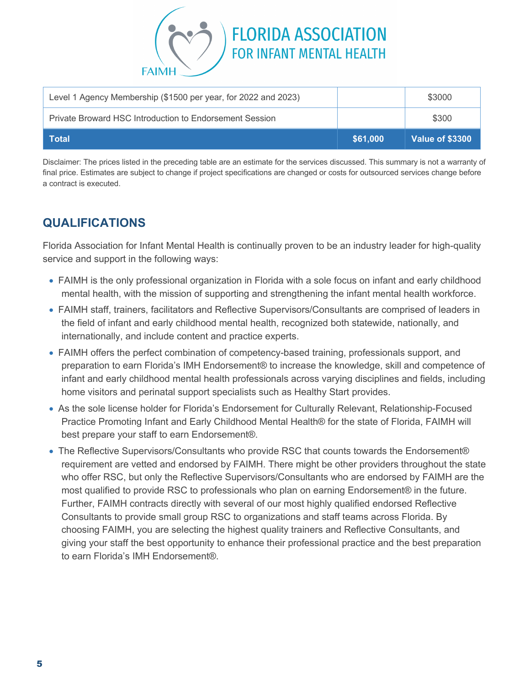

| Level 1 Agency Membership (\$1500 per year, for 2022 and 2023) |          | \$3000          |
|----------------------------------------------------------------|----------|-----------------|
| Private Broward HSC Introduction to Endorsement Session        |          | \$300           |
| Total                                                          | \$61,000 | Value of \$3300 |

Disclaimer: The prices listed in the preceding table are an estimate for the services discussed. This summary is not a warranty of final price. Estimates are subject to change if project specifications are changed or costs for outsourced services change before a contract is executed.

### **QUALIFICATIONS**

Florida Association for Infant Mental Health is continually proven to be an industry leader for high-quality service and support in the following ways:

- FAIMH is the only professional organization in Florida with a sole focus on infant and early childhood mental health, with the mission of supporting and strengthening the infant mental health workforce.
- FAIMH staff, trainers, facilitators and Reflective Supervisors/Consultants are comprised of leaders in the field of infant and early childhood mental health, recognized both statewide, nationally, and internationally, and include content and practice experts.
- FAIMH offers the perfect combination of competency-based training, professionals support, and preparation to earn Florida's IMH Endorsement® to increase the knowledge, skill and competence of infant and early childhood mental health professionals across varying disciplines and fields, including home visitors and perinatal support specialists such as Healthy Start provides.
- As the sole license holder for Florida's Endorsement for Culturally Relevant, Relationship-Focused Practice Promoting Infant and Early Childhood Mental Health® for the state of Florida, FAIMH will best prepare your staff to earn Endorsement®.
- The Reflective Supervisors/Consultants who provide RSC that counts towards the Endorsement® requirement are vetted and endorsed by FAIMH. There might be other providers throughout the state who offer RSC, but only the Reflective Supervisors/Consultants who are endorsed by FAIMH are the most qualified to provide RSC to professionals who plan on earning Endorsement® in the future. Further, FAIMH contracts directly with several of our most highly qualified endorsed Reflective Consultants to provide small group RSC to organizations and staff teams across Florida. By choosing FAIMH, you are selecting the highest quality trainers and Reflective Consultants, and giving your staff the best opportunity to enhance their professional practice and the best preparation to earn Florida's IMH Endorsement®.